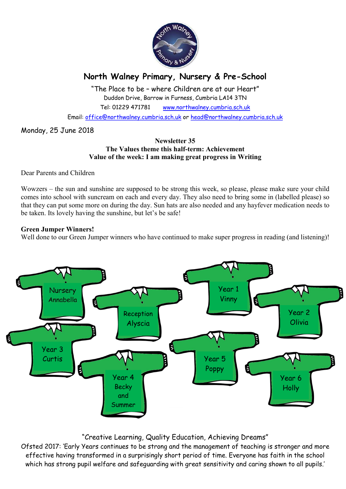

# North Walney Primary, Nursery & Pre-School

"The Place to be – where Children are at our Heart" Duddon Drive, Barrow in Furness, Cumbria LA14 3TN Tel: 01229 471781 www.northwalney.cumbria.sch.uk

Email: office@northwalney.cumbria.sch.uk or head@northwalney.cumbria.sch.uk

# Monday, 25 June 2018

#### Newsletter 35 The Values theme this half-term: Achievement Value of the week: I am making great progress in Writing

Dear Parents and Children

Wowzers – the sun and sunshine are supposed to be strong this week, so please, please make sure your child comes into school with suncream on each and every day. They also need to bring some in (labelled please) so that they can put some more on during the day. Sun hats are also needed and any hayfever medication needs to be taken. Its lovely having the sunshine, but let's be safe!

### Green Jumper Winners!

Well done to our Green Jumper winners who have continued to make super progress in reading (and listening)!



# "Creative Learning, Quality Education, Achieving Dreams"

Ofsted 2017: 'Early Years continues to be strong and the management of teaching is stronger and more effective having transformed in a surprisingly short period of time. Everyone has faith in the school which has strong pupil welfare and safeguarding with great sensitivity and caring shown to all pupils.'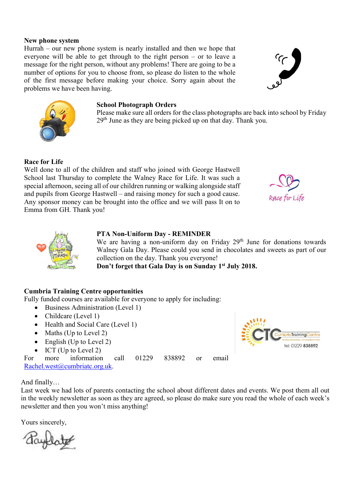#### New phone system

Hurrah – our new phone system is nearly installed and then we hope that everyone will be able to get through to the right person – or to leave a message for the right person, without any problems! There are going to be a number of options for you to choose from, so please do listen to the whole of the first message before making your choice. Sorry again about the problems we have been having.

# School Photograph Orders

Please make sure all orders for the class photographs are back into school by Friday 29<sup>th</sup> June as they are being picked up on that day. Thank you.

# Race for Life

Well done to all of the children and staff who joined with George Hastwell School last Thursday to complete the Walney Race for Life. It was such a special afternoon, seeing all of our children running or walking alongside staff and pupils from George Hastwell – and raising money for such a good cause. Any sponsor money can be brought into the office and we will pass It on to Emma from GH. Thank you!





### PTA Non-Uniform Day - REMINDER

We are having a non-uniform day on Friday  $29<sup>th</sup>$  June for donations towards Walney Gala Day. Please could you send in chocolates and sweets as part of our collection on the day. Thank you everyone!

Don't forget that Gala Day is on Sunday 1st July 2018.

### Cumbria Training Centre opportunities

Fully funded courses are available for everyone to apply for including:

- Business Administration (Level 1)
- Childcare (Level 1)
- Health and Social Care (Level 1)
- $\bullet$  Maths (Up to Level 2)
- $\bullet$  English (Up to Level 2)
- $\bullet$  ICT (Up to Level 2)

For more information call 01229 838892 or email Rachel.west@cumbriatc.org.uk.



And finally…

Last week we had lots of parents contacting the school about different dates and events. We post them all out in the weekly newsletter as soon as they are agreed, so please do make sure you read the whole of each week's newsletter and then you won't miss anything!

Yours sincerely,

Raylate